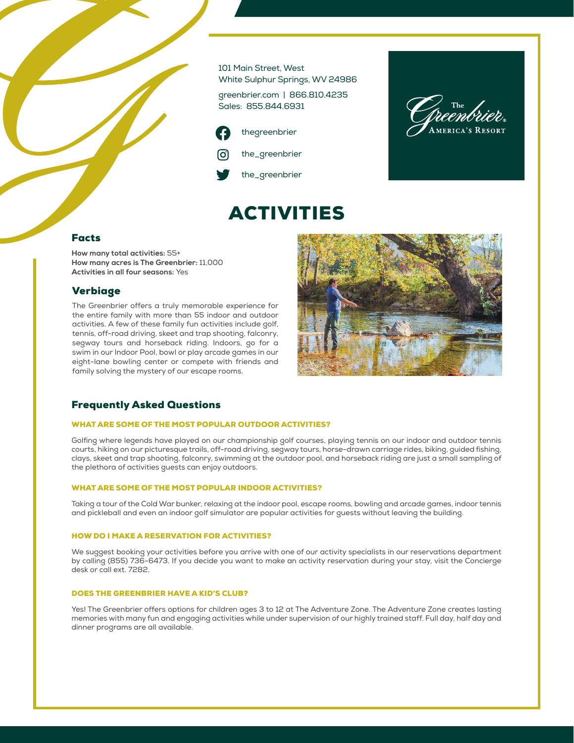101 Main Street, West White Sulphur Springs, WV 24986

greenbrier.com | 866.810.4235 Sales: 855.844.6931

ACTIVITIES





## Facts

**How many total activities:** 55+ **How many acres is The Greenbrier:** 11,000 **Activities in all four seasons:** Yes

## Verbiage

The Greenbrier offers a truly memorable experience for the entire family with more than 55 indoor and outdoor activities. A few of these family fun activities include golf, tennis, off-road driving, skeet and trap shooting, falconry, segway tours and horseback riding. Indoors, go for a swim in our Indoor Pool, bowl or play arcade games in our eight-lane bowling center or compete with friends and family solving the mystery of our escape rooms.



# Frequently Asked Questions

### WHAT ARE SOME OF THE MOST POPULAR OUTDOOR ACTIVITIES?

Golfing where legends have played on our championship golf courses, playing tennis on our indoor and outdoor tennis courts, hiking on our picturesque trails, off-road driving, segway tours, horse-drawn carriage rides, biking, guided fishing, clays, skeet and trap shooting, falconry, swimming at the outdoor pool, and horseback riding are just a small sampling of the plethora of activities guests can enjoy outdoors.

#### WHAT ARE SOME OF THE MOST POPULAR INDOOR ACTIVITIES?

Taking a tour of the Cold War bunker, relaxing at the indoor pool, escape rooms, bowling and arcade games, indoor tennis and pickleball and even an indoor golf simulator are popular activities for guests without leaving the building.

### HOW DO I MAKE A RESERVATION FOR ACTIVITIES?

We suggest booking your activities before you arrive with one of our activity specialists in our reservations department by calling (855) 736-6473. If you decide you want to make an activity reservation during your stay, visit the Concierge desk or call ext. 7282.

### DOES THE GREENBRIER HAVE A KID'S CLUB?

Yes! The Greenbrier offers options for children ages 3 to 12 at The Adventure Zone. The Adventure Zone creates lasting memories with many fun and engaging activities while under supervision of our highly trained staff. Full day, half day and dinner programs are all available.